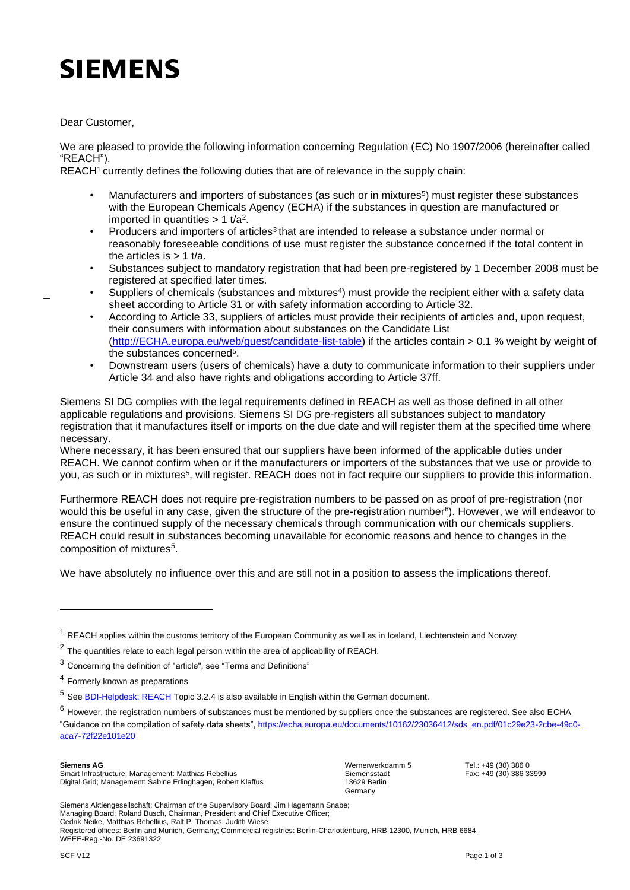## **SIEMENS**

Dear Customer,

\_

We are pleased to provide the following information concerning Regulation (EC) No 1907/2006 (hereinafter called "REACH").

REACH<sup>1</sup> currently defines the following duties that are of relevance in the supply chain:

- Manufacturers and importers of substances (as such or in mixtures<sup>5</sup>) must register these substances with the European Chemicals Agency (ECHA) if the substances in question are manufactured or imported in quantities  $> 1$  t/a<sup>2</sup>.
- Producers and importers of articles<sup>3</sup> that are intended to release a substance under normal or reasonably foreseeable conditions of use must register the substance concerned if the total content in the articles is  $> 1$  t/a.
- Substances subject to mandatory registration that had been pre-registered by 1 December 2008 must be registered at specified later times.
- Suppliers of chemicals (substances and mixtures<sup>4</sup>) must provide the recipient either with a safety data sheet according to Article 31 or with safety information according to Article 32.
- According to Article 33, suppliers of articles must provide their recipients of articles and, upon request, their consumers with information about substances on the Candidate List (http://ECHA.europa.eu/web/guest/candidate-list-table) if the articles contain > 0.1 % weight by weight of the substances concerned<sup>5</sup>.
- Downstream users (users of chemicals) have a duty to communicate information to their suppliers under Article 34 and also have rights and obligations according to Article 37ff.

Siemens SI DG complies with the legal requirements defined in REACH as well as those defined in all other applicable regulations and provisions. Siemens SI DG pre-registers all substances subject to mandatory registration that it manufactures itself or imports on the due date and will register them at the specified time where necessary.

Where necessary, it has been ensured that our suppliers have been informed of the applicable duties under REACH. We cannot confirm when or if the manufacturers or importers of the substances that we use or provide to you, as such or in mixtures<sup>5</sup>, will register. REACH does not in fact require our suppliers to provide this information.

Furthermore REACH does not require pre-registration numbers to be passed on as proof of pre-registration (nor would this be useful in any case, given the structure of the pre-registration number<sup>6</sup>). However, we will endeavor to ensure the continued supply of the necessary chemicals through communication with our chemicals suppliers. REACH could result in substances becoming unavailable for economic reasons and hence to changes in the composition of mixtures<sup>5</sup>.

We have absolutely no influence over this and are still not in a position to assess the implications thereof.

 $6$  However, the registration numbers of substances must be mentioned by suppliers once the substances are registered. See also ECHA "Guidance on the compilation of safety data sheets", https://echa.europa.eu/documents/10162/23036412/sds\_en.pdf/01c29e23-2cbe-49c0 aca7-72f22e101e20

Digital Gric Smart Infrastructure; Management: Matthias Rebellius Digital Grid; Management: Sabine Erlinghagen, Robert Klaffus Wernerwerkdamm 5 Siemensstadt 13629 Berlin Germany

Tel.: +49 (30) 386 0 Fax: +49 (30) 386 33999

۔<br>Siemens Aktiengesellschaft: Chairman of the Supervisory Board: Jim Hagemann Snabe; Managing Board: Roland Busch, Chairman, President and Chief Executive Officer; Cedrik Neike, Matthias Rebellius, Ralf P. Thomas, Judith Wiese

Registered offices: Berlin and Munich, Germany; Commercial registries: Berlin-Charlottenburg, HRB 12300, Munich, HRB 6684 WEEE-Reg.-No. DE 23691322

 $1$  REACH applies within the customs territory of the European Community as well as in Iceland, Liechtenstein and Norway

 $2$  The quantities relate to each legal person within the area of applicability of REACH.

 $3$  Concerning the definition of "article", see "Terms and Definitions"

<sup>4</sup> Formerly known as preparations

<sup>5</sup> See BDI-Helpdesk: REACH Topic 3.2.4 is also available in English within the German document.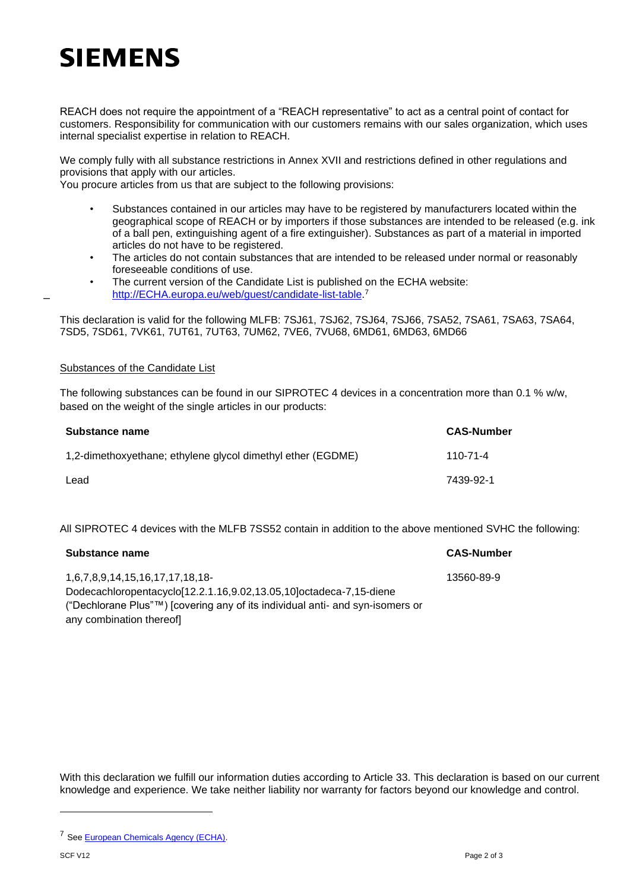## **SIEMENS**

REACH does not require the appointment of a "REACH representative" to act as a central point of contact for customers. Responsibility for communication with our customers remains with our sales organization, which uses internal specialist expertise in relation to REACH.

We comply fully with all substance restrictions in Annex XVII and restrictions defined in other regulations and provisions that apply with our articles.

You procure articles from us that are subject to the following provisions:

- Substances contained in our articles may have to be registered by manufacturers located within the geographical scope of REACH or by importers if those substances are intended to be released (e.g. ink of a ball pen, extinguishing agent of a fire extinguisher). Substances as part of a material in imported articles do not have to be registered.
- The articles do not contain substances that are intended to be released under normal or reasonably foreseeable conditions of use.
- The current version of the Candidate List is published on the ECHA website: [http://ECHA.europa.eu/web/guest/candidate-list-table.](http://echa.europa.eu/web/guest/candidate-list-table)<sup>7</sup>

This declaration is valid for the following MLFB: 7SJ61, 7SJ62, 7SJ64, 7SJ66, 7SA52, 7SA61, 7SA63, 7SA64, 7SD5, 7SD61, 7VK61, 7UT61, 7UT63, 7UM62, 7VE6, 7VU68, 6MD61, 6MD63, 6MD66

## Substances of the Candidate List

\_

The following substances can be found in our SIPROTEC 4 devices in a concentration more than 0.1 % w/w, based on the weight of the single articles in our products:

| Substance name                                              | <b>CAS-Number</b> |
|-------------------------------------------------------------|-------------------|
| 1,2-dimethoxyethane; ethylene glycol dimethyl ether (EGDME) | 110-71-4          |
| Lead                                                        | 7439-92-1         |

All SIPROTEC 4 devices with the MLFB 7SS52 contain in addition to the above mentioned SVHC the following:

| Substance name                                                                | <b>CAS-Number</b> |
|-------------------------------------------------------------------------------|-------------------|
| 1,6,7,8,9,14,15,16,17,17,18,18-                                               | 13560-89-9        |
| Dodecachloropentacyclo[12.2.1.16,9.02,13.05,10]octadeca-7,15-diene            |                   |
| ("Dechlorane Plus"™) [covering any of its individual anti- and syn-isomers or |                   |
| any combination thereofl                                                      |                   |

With this declaration we fulfill our information duties according to Article 33. This declaration is based on our current knowledge and experience. We take neither liability nor warranty for factors beyond our knowledge and control.

<sup>7</sup> See [European Chemicals Agency \(ECHA\).](http://echa.europa.eu/de/)